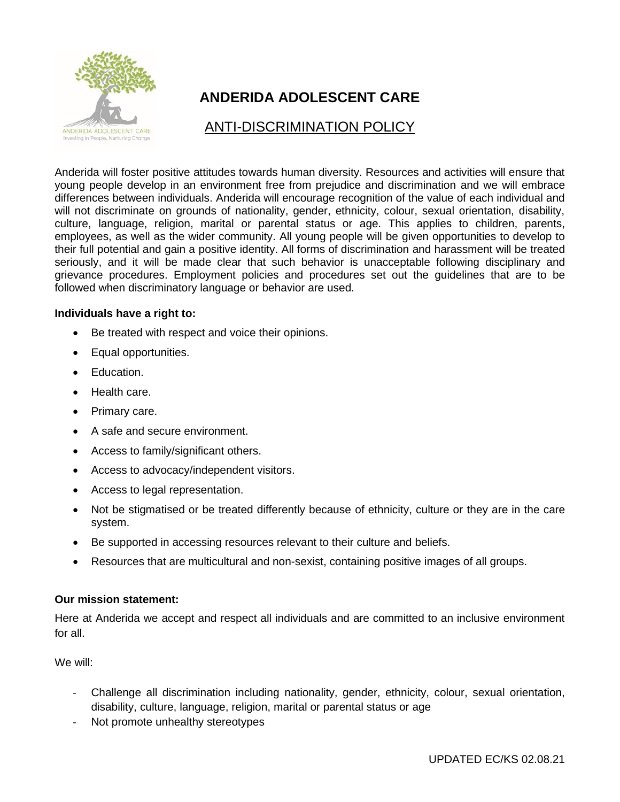

## **ANDERIDA ADOLESCENT CARE**

## ANTI-DISCRIMINATION POLICY

Anderida will foster positive attitudes towards human diversity. Resources and activities will ensure that young people develop in an environment free from prejudice and discrimination and we will embrace differences between individuals. Anderida will encourage recognition of the value of each individual and will not discriminate on grounds of nationality, gender, ethnicity, colour, sexual orientation, disability, culture, language, religion, marital or parental status or age. This applies to children, parents, employees, as well as the wider community. All young people will be given opportunities to develop to their full potential and gain a positive identity. All forms of discrimination and harassment will be treated seriously, and it will be made clear that such behavior is unacceptable following disciplinary and grievance procedures. Employment policies and procedures set out the guidelines that are to be followed when discriminatory language or behavior are used.

## **Individuals have a right to:**

- Be treated with respect and voice their opinions.
- Equal opportunities.
- Education.
- Health care.
- Primary care.
- A safe and secure environment.
- Access to family/significant others.
- Access to advocacy/independent visitors.
- Access to legal representation.
- Not be stigmatised or be treated differently because of ethnicity, culture or they are in the care system.
- Be supported in accessing resources relevant to their culture and beliefs.
- Resources that are multicultural and non-sexist, containing positive images of all groups.

## **Our mission statement:**

Here at Anderida we accept and respect all individuals and are committed to an inclusive environment for all.

We will:

- Challenge all discrimination including nationality, gender, ethnicity, colour, sexual orientation, disability, culture, language, religion, marital or parental status or age
- Not promote unhealthy stereotypes